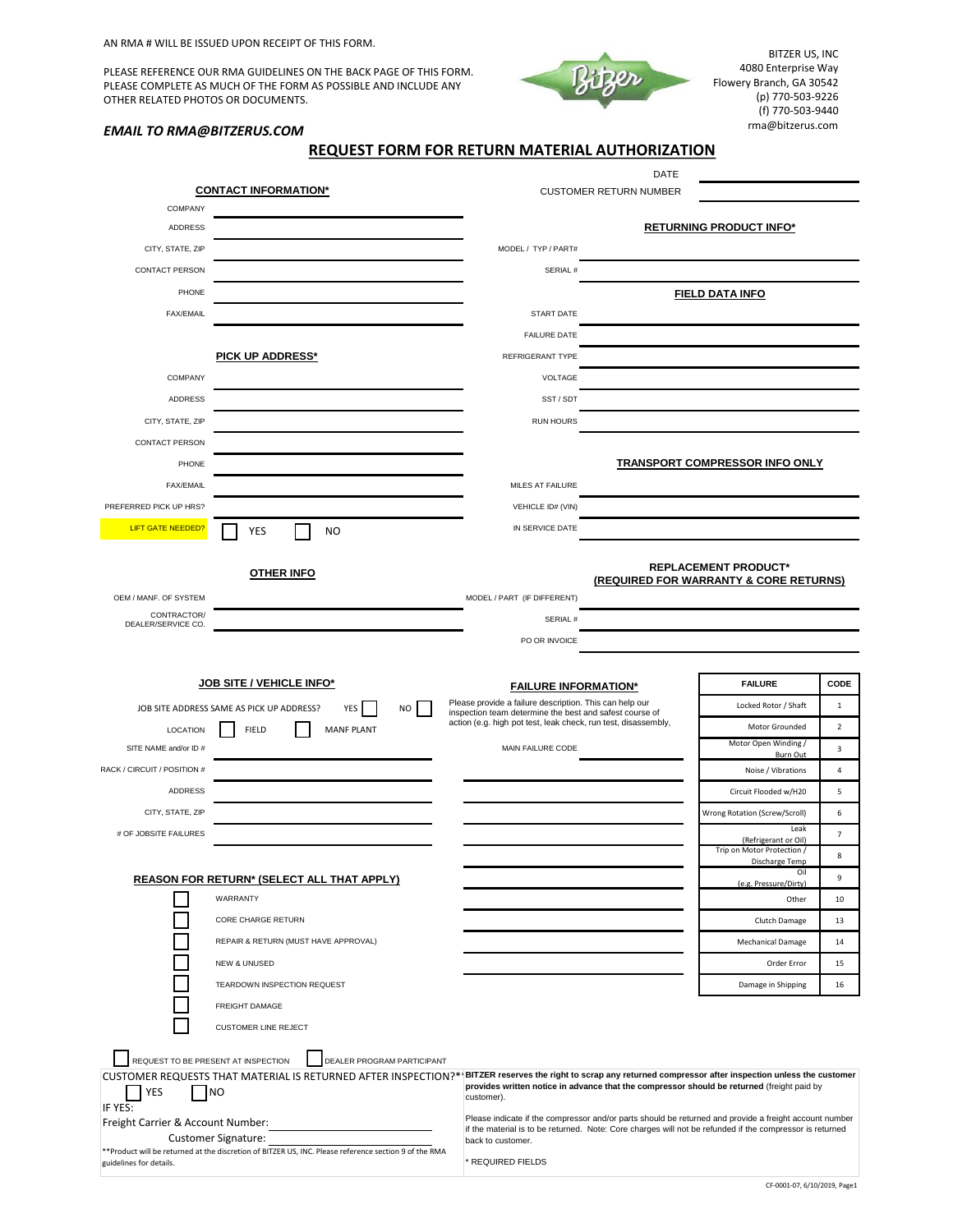AN RMA # WILL BE ISSUED UPON RECEIPT OF THIS FORM.

PLEASE REFERENCE OUR RMA GUIDELINES ON THE BACK PAGE OF THIS FORM. PLEASE COMPLETE AS MUCH OF THE FORM AS POSSIBLE AND INCLUDE ANY OTHER RELATED PHOTOS OR DOCUMENTS.



BITZER US, INC 4080 Enterprise Way Flowery Branch, GA 30542 (p) 770-503-9226 (f) 770-503-9440 rma@bitzerus.com

## *EMAIL TO RMA@BITZERUS.COM*

**REQUEST FORM FOR RETURN MATERIAL AUTHORIZATION** 

| <b>CONTACT INFORMATION*</b>         |                                                                                                                                                                                    | <b>DATE</b><br><b>CUSTOMER RETURN NUMBER</b>                                                                              |  |                                                                                                                                                                                                                    |                |
|-------------------------------------|------------------------------------------------------------------------------------------------------------------------------------------------------------------------------------|---------------------------------------------------------------------------------------------------------------------------|--|--------------------------------------------------------------------------------------------------------------------------------------------------------------------------------------------------------------------|----------------|
| COMPANY                             |                                                                                                                                                                                    |                                                                                                                           |  |                                                                                                                                                                                                                    |                |
| ADDRESS                             |                                                                                                                                                                                    |                                                                                                                           |  | <b>RETURNING PRODUCT INFO*</b>                                                                                                                                                                                     |                |
| CITY, STATE, ZIP                    |                                                                                                                                                                                    | MODEL / TYP / PART#                                                                                                       |  |                                                                                                                                                                                                                    |                |
| <b>CONTACT PERSON</b>               |                                                                                                                                                                                    | SERIAL #                                                                                                                  |  |                                                                                                                                                                                                                    |                |
| PHONE                               |                                                                                                                                                                                    |                                                                                                                           |  | <b>FIELD DATA INFO</b>                                                                                                                                                                                             |                |
| <b>FAX/EMAIL</b>                    |                                                                                                                                                                                    | START DATE                                                                                                                |  |                                                                                                                                                                                                                    |                |
|                                     |                                                                                                                                                                                    | <b>FAILURE DATE</b>                                                                                                       |  |                                                                                                                                                                                                                    |                |
|                                     | PICK UP ADDRESS*                                                                                                                                                                   | <b>REFRIGERANT TYPE</b>                                                                                                   |  |                                                                                                                                                                                                                    |                |
|                                     |                                                                                                                                                                                    | VOLTAGE                                                                                                                   |  |                                                                                                                                                                                                                    |                |
| COMPANY                             |                                                                                                                                                                                    |                                                                                                                           |  |                                                                                                                                                                                                                    |                |
| ADDRESS                             |                                                                                                                                                                                    | SST/SDT                                                                                                                   |  |                                                                                                                                                                                                                    |                |
| CITY, STATE, ZIP                    |                                                                                                                                                                                    | <b>RUN HOURS</b>                                                                                                          |  |                                                                                                                                                                                                                    |                |
| CONTACT PERSON                      |                                                                                                                                                                                    |                                                                                                                           |  |                                                                                                                                                                                                                    |                |
| PHONE                               |                                                                                                                                                                                    |                                                                                                                           |  | TRANSPORT COMPRESSOR INFO ONLY                                                                                                                                                                                     |                |
| <b>FAX/EMAIL</b>                    |                                                                                                                                                                                    | MILES AT FAILURE                                                                                                          |  |                                                                                                                                                                                                                    |                |
| PREFERRED PICK UP HRS?              |                                                                                                                                                                                    | <b>VEHICLE ID# (VIN)</b>                                                                                                  |  |                                                                                                                                                                                                                    |                |
| <b>LIFT GATE NEEDED?</b>            | <b>YES</b><br><b>NO</b>                                                                                                                                                            | IN SERVICE DATE                                                                                                           |  |                                                                                                                                                                                                                    |                |
|                                     | <b>OTHER INFO</b>                                                                                                                                                                  |                                                                                                                           |  | <b>REPLACEMENT PRODUCT*</b><br>(REQUIRED FOR WARRANTY & CORE RETURNS)                                                                                                                                              |                |
| OEM / MANF. OF SYSTEM               |                                                                                                                                                                                    | MODEL / PART (IF DIFFERENT)                                                                                               |  |                                                                                                                                                                                                                    |                |
| CONTRACTOR/<br>DEALER/SERVICE CO.   |                                                                                                                                                                                    | SERIAL#                                                                                                                   |  |                                                                                                                                                                                                                    |                |
|                                     |                                                                                                                                                                                    | PO OR INVOICE                                                                                                             |  |                                                                                                                                                                                                                    |                |
|                                     |                                                                                                                                                                                    |                                                                                                                           |  |                                                                                                                                                                                                                    |                |
|                                     |                                                                                                                                                                                    |                                                                                                                           |  |                                                                                                                                                                                                                    |                |
|                                     | <b>JOB SITE / VEHICLE INFO*</b>                                                                                                                                                    |                                                                                                                           |  | <b>FAILURE</b>                                                                                                                                                                                                     | CODE           |
|                                     |                                                                                                                                                                                    | <b>FAILURE INFORMATION*</b><br>Please provide a failure description. This can help our                                    |  | Locked Rotor / Shaft                                                                                                                                                                                               | $\mathbf{1}$   |
|                                     | <b>NO</b><br>JOB SITE ADDRESS SAME AS PICK UP ADDRESS?<br>YES                                                                                                                      | inspection team determine the best and safest course of<br>action (e.g. high pot test, leak check, run test, disassembly, |  | Motor Grounded                                                                                                                                                                                                     | $\overline{2}$ |
| <b>LOCATION</b>                     | <b>FIELD</b><br><b>MANF PLANT</b>                                                                                                                                                  |                                                                                                                           |  | Motor Open Winding /                                                                                                                                                                                               |                |
| SITE NAME and/or ID #               |                                                                                                                                                                                    | MAIN FAILURE CODE                                                                                                         |  | Burn Out                                                                                                                                                                                                           | 3              |
| RACK / CIRCUIT / POSITION #         |                                                                                                                                                                                    |                                                                                                                           |  | Noise / Vibrations                                                                                                                                                                                                 | $\overline{4}$ |
| <b>ADDRESS</b>                      |                                                                                                                                                                                    |                                                                                                                           |  | Circuit Flooded w/H20                                                                                                                                                                                              | 5              |
| CITY, STATE, ZIP                    |                                                                                                                                                                                    |                                                                                                                           |  | Wrong Rotation (Screw/Scroll)                                                                                                                                                                                      | 6              |
| # OF JOBSITE FAILURES               |                                                                                                                                                                                    |                                                                                                                           |  | Leak<br>(Refrigerant or Oil)                                                                                                                                                                                       | 7              |
|                                     |                                                                                                                                                                                    |                                                                                                                           |  | Trip on Motor Protection /<br>Discharge Temp                                                                                                                                                                       | 8              |
|                                     | <b>REASON FOR RETURN* (SELECT ALL THAT APPLY)</b>                                                                                                                                  |                                                                                                                           |  | Oil<br>(e.g. Pressure/Dirty)                                                                                                                                                                                       | 9              |
|                                     | WARRANTY                                                                                                                                                                           |                                                                                                                           |  | Other                                                                                                                                                                                                              | 10             |
|                                     | CORE CHARGE RETURN                                                                                                                                                                 |                                                                                                                           |  | Clutch Damage                                                                                                                                                                                                      | 13             |
|                                     | REPAIR & RETURN (MUST HAVE APPROVAL)                                                                                                                                               |                                                                                                                           |  | Mechanical Damage                                                                                                                                                                                                  | 14             |
|                                     | <b>NEW &amp; UNUSED</b>                                                                                                                                                            |                                                                                                                           |  | Order Error                                                                                                                                                                                                        | 15             |
|                                     | TEARDOWN INSPECTION REQUEST                                                                                                                                                        |                                                                                                                           |  | Damage in Shipping                                                                                                                                                                                                 | 16             |
|                                     | FREIGHT DAMAGE                                                                                                                                                                     |                                                                                                                           |  |                                                                                                                                                                                                                    |                |
|                                     | <b>CUSTOMER LINE REJECT</b>                                                                                                                                                        |                                                                                                                           |  |                                                                                                                                                                                                                    |                |
| REQUEST TO BE PRESENT AT INSPECTION | DEALER PROGRAM PARTICIPANT                                                                                                                                                         |                                                                                                                           |  |                                                                                                                                                                                                                    |                |
| YES<br>IF YES:                      | CUSTOMER REQUESTS THAT MATERIAL IS RETURNED AFTER INSPECTION?*   BITZER reserves the right to scrap any returned compressor after inspection unless the customer<br>N <sub>O</sub> | customer).                                                                                                                |  | provides written notice in advance that the compressor should be returned (freight paid by                                                                                                                         |                |
| Freight Carrier & Account Number:   | Customer Signature:<br>** Product will be returned at the discretion of BITZER US, INC. Please reference section 9 of the RMA                                                      | back to customer.                                                                                                         |  | Please indicate if the compressor and/or parts should be returned and provide a freight account number<br>if the material is to be returned. Note: Core charges will not be refunded if the compressor is returned |                |